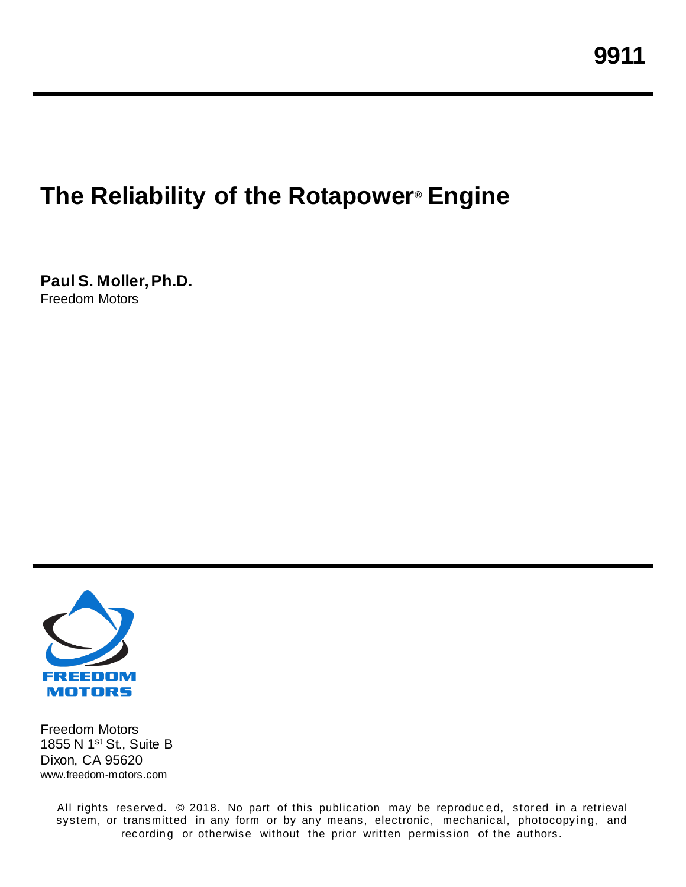# **The Reliability of the Rotapower® Engine**

**Paul S. Moller, Ph.D.** Freedom Motors



Freedom Motors 1855 N 1st St., Suite B Dixon, CA 95620 www.freedom-motors.com

> All rights reserved. © 2018. No part of this publication may be reproduced, stored in a retrieval system, or transmitted in any form or by any means, electronic, mechanical, photocopying, and recording or otherwise without the prior written permission of the authors.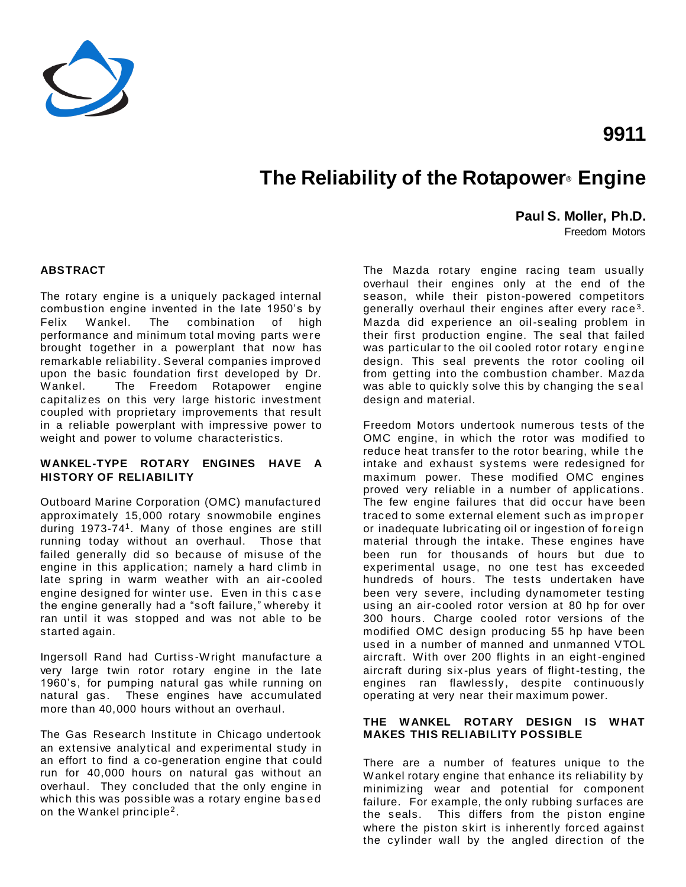

## **The Reliability of the Rotapower® Engine**

**Paul S. Moller, Ph.D.**

Freedom Motors

**9911**

#### **ABSTRACT**

The rotary engine is a uniquely packaged internal combustion engine invented in the late 1950's by Felix Wankel. The combination of high performance and minimum total moving parts were brought together in a powerplant that now has remarkable reliability. Several companies improved upon the basic foundation first developed by Dr. Wankel. The Freedom Rotapower engine capitalizes on this very large historic investment coupled with proprietary improvements that result in a reliable powerplant with impressive power to weight and power to volume characteristics.

#### **WANKEL-TYPE ROTARY ENGINES HAVE A HISTORY OF RELIABILITY**

Outboard Marine Corporation (OMC) manufactured approximately 15,000 rotary snowmobile engines during 1973-74<sup>1</sup> . Many of those engines are still running today without an overhaul. Those that failed generally did so because of misuse of the engine in this application; namely a hard climb in late spring in warm weather with an air-cooled engine designed for winter use. Even in this case the engine generally had a "soft failure," whereby it ran until it was stopped and was not able to be started again.

Ingersoll Rand had Curtiss -Wright manufacture a very large twin rotor rotary engine in the late 1960's, for pumping natural gas while running on natural gas. These engines have accumulated more than 40,000 hours without an overhaul.

The Gas Research Institute in Chicago undertook an extensive analytical and experimental study in an effort to find a co-generation engine that could run for 40,000 hours on natural gas without an overhaul. They concluded that the only engine in which this was possible was a rotary engine bas ed on the Wankel principle<sup>2</sup>.

The Mazda rotary engine racing team usually overhaul their engines only at the end of the season, while their piston-powered competitors generally overhaul their engines after every race<sup>3</sup>. Mazda did experience an oil-sealing problem in their first production engine. The seal that failed was particular to the oil cooled rotor rotary engine design. This seal prevents the rotor cooling oil from getting into the combustion chamber. Mazda was able to quickly solve this by changing the s eal design and material.

Freedom Motors undertook numerous tests of the OMC engine, in which the rotor was modified to reduce heat transfer to the rotor bearing, while the intake and exhaust systems were redesigned for maximum power. These modified OMC engines proved very reliable in a number of applications. The few engine failures that did occur have been traced to some external element such as im proper or inadequate lubricating oil or ingestion of forei gn material through the intake. These engines have been run for thousands of hours but due to experimental usage, no one test has exceeded hundreds of hours. The tests undertaken have been very severe, including dynamometer testing using an air-cooled rotor version at 80 hp for over 300 hours. Charge cooled rotor versions of the modified OMC design producing 55 hp have been used in a number of manned and unmanned VTOL aircraft. With over 200 flights in an eight -engined aircraft during six -plus years of flight-testing, the engines ran flawlessly, despite continuously operating at very near their maximum power.

#### **THE WANKEL ROTARY DESIGN IS WHAT MAKES THIS RELIABILITY POSSIBLE**

There are a number of features unique to the Wankel rotary engine that enhance its reliability by minimizing wear and potential for component failure. For example, the only rubbing surfaces are the seals. This differs from the piston engine where the piston skirt is inherently forced against the cylinder wall by the angled direction of the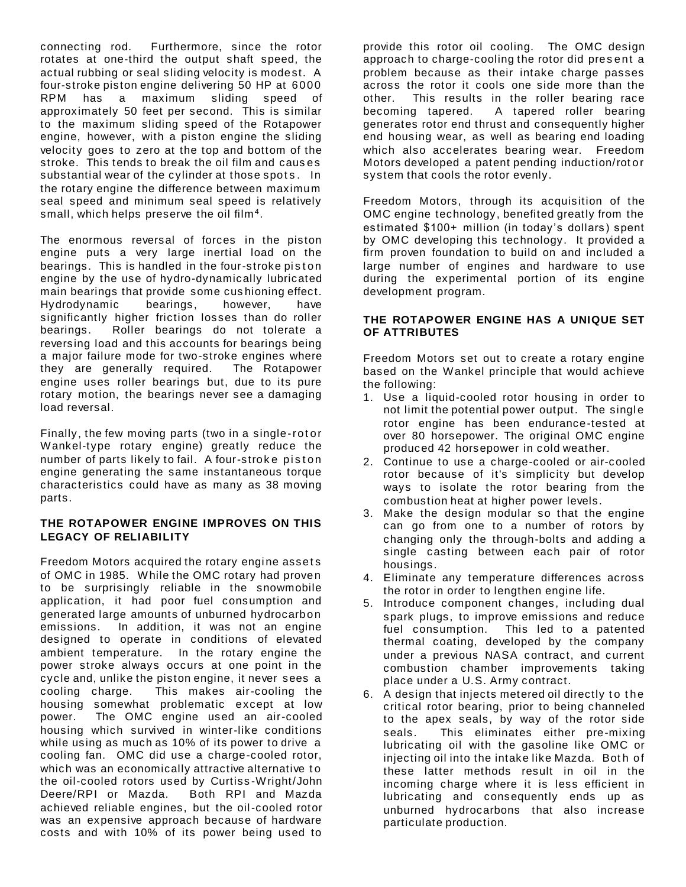connecting rod. Furthermore, since the rotor rotates at one-third the output shaft speed, the actual rubbing or seal sliding velocity is modest. A four-stroke piston engine delivering 50 HP at 6000 RPM has a maximum sliding speed of approximately 50 feet per second. This is similar to the maximum sliding speed of the Rotapower engine, however, with a piston engine the sliding velocity goes to zero at the top and bottom of the stroke. This tends to break the oil film and caus es substantial wear of the cylinder at those spots. In the rotary engine the difference between maximum seal speed and minimum seal speed is relatively small, which helps preserve the oil film $^4\!$ .

The enormous reversal of forces in the piston engine puts a very large inertial load on the bearings. This is handled in the four-stroke piston engine by the use of hydro-dynamically lubricated main bearings that provide some cus hioning effect. Hydrodynamic bearings, however, have significantly higher friction losses than do roller bearings. Roller bearings do not tolerate a reversing load and this accounts for bearings being a major failure mode for two-stroke engines where they are generally required. The Rotapower engine uses roller bearings but, due to its pure rotary motion, the bearings never see a damaging load reversal.

Finally, the few moving parts (two in a single-rot or Wankel-type rotary engine) greatly reduce the number of parts likely to fail. A four-stroke piston engine generating the same instantaneous torque characteristics could have as many as 38 moving parts.

#### **THE ROTAPOWER ENGINE IMPROVES ON THIS LEGACY OF RELIABILITY**

Freedom Motors acquired the rotary engine assets of OMC in 1985. While the OMC rotary had proven to be surprisingly reliable in the snowmobile application, it had poor fuel consumption and generated large amounts of unburned hydrocarbon emissions. In addition, it was not an engine designed to operate in conditions of elevated ambient temperature. In the rotary engine the power stroke always occurs at one point in the cycle and, unlike the piston engine, it never sees a cooling charge. This makes air-cooling the housing somewhat problematic except at low power. The OMC engine used an air-cooled housing which survived in winter-like conditions while using as much as 10% of its power to drive a cooling fan. OMC did use a charge-cooled rotor, which was an economically attractive alternative to the oil-cooled rotors used by Curtiss -Wright/John Deere/RPI or Mazda. Both RPI and Mazda achieved reliable engines, but the oil-cooled rotor was an expensive approach because of hardware costs and with 10% of its power being used to

provide this rotor oil cooling. The OMC design approach to charge-cooling the rotor did pres ent a problem because as their intake charge passes across the rotor it cools one side more than the other. This results in the roller bearing race becoming tapered. A tapered roller bearing generates rotor end thrust and consequently higher end housing wear, as well as bearing end loading which also accelerates bearing wear. Freedom Motors developed a patent pending induction/rot or system that cools the rotor evenly.

Freedom Motors, through its acquisition of the OMC engine technology, benefited greatly from the estimated \$100+ million (in today's dollars) spent by OMC developing this technology. It provided a firm proven foundation to build on and included a large number of engines and hardware to use during the experimental portion of its engine development program.

#### **THE ROTAPOWER ENGINE HAS A UNIQUE SET OF ATTRIBUTES**

Freedom Motors set out to create a rotary engine based on the Wankel principle that would achieve the following:

- 1. Use a liquid-cooled rotor housing in order to not limit the potential power output. The single rotor engine has been endurance-tested at over 80 horsepower. The original OMC engine produced 42 horsepower in cold weather.
- 2. Continue to use a charge-cooled or air-cooled rotor because of it's simplicity but develop ways to isolate the rotor bearing from the combustion heat at higher power levels.
- 3. Make the design modular so that the engine can go from one to a number of rotors by changing only the through-bolts and adding a single casting between each pair of rotor housings.
- 4. Eliminate any temperature differences across the rotor in order to lengthen engine life.
- 5. Introduce component changes, including dual spark plugs, to improve emissions and reduce fuel consumption. This led to a patented thermal coating, developed by the company under a previous NASA contract, and current combustion chamber improvements taking place under a U.S. Army contract.
- 6. A design that injects metered oil directly to the critical rotor bearing, prior to being channeled to the apex seals, by way of the rotor side seals. This eliminates either pre-mixing lubricating oil with the gasoline like OMC or injecting oil into the intake like Mazda. Both of these latter methods result in oil in the incoming charge where it is less efficient in lubricating and consequently ends up as unburned hydrocarbons that also increase particulate production.